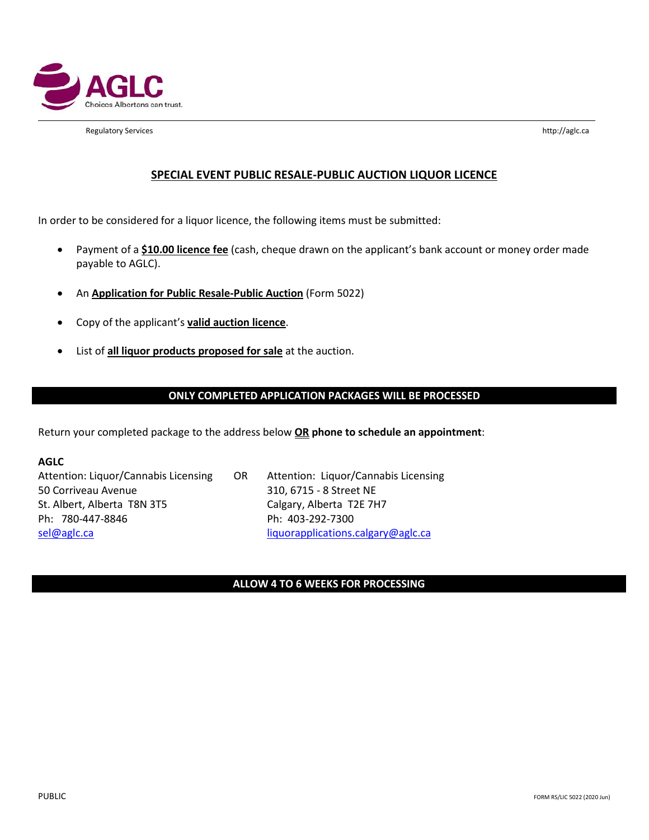

Regulatory Services http://aglc.ca

## **SPECIAL EVENT PUBLIC RESALE-PUBLIC AUCTION LIQUOR LICENCE**

In order to be considered for a liquor licence, the following items must be submitted:

- Payment of a **\$10.00 licence fee** (cash, cheque drawn on the applicant's bank account or money order made payable to AGLC).
- An **Application for Public Resale-Public Auction** (Form 5022)
- Copy of the applicant's **valid auction licence**.
- List of **all liquor products proposed for sale** at the auction.

### **ONLY COMPLETED APPLICATION PACKAGES WILL BE PROCESSED**

Return your completed package to the address below **OR phone to schedule an appointment**:

**AGLC**

Attention: Liquor/Cannabis Licensing OR Attention: Liquor/Cannabis Licensing 50 Corriveau Avenue 310, 6715 - 8 Street NE St. Albert, Alberta T8N 3T5 Calgary, Alberta T2E 7H7 Ph: 780-447-8846 Ph: 403-292-7300 [sel@aglc.ca](mailto:sel@aglc.ca) liquorapplications.calgary@aglc.ca

### **ALLOW 4 TO 6 WEEKS FOR PROCESSING**